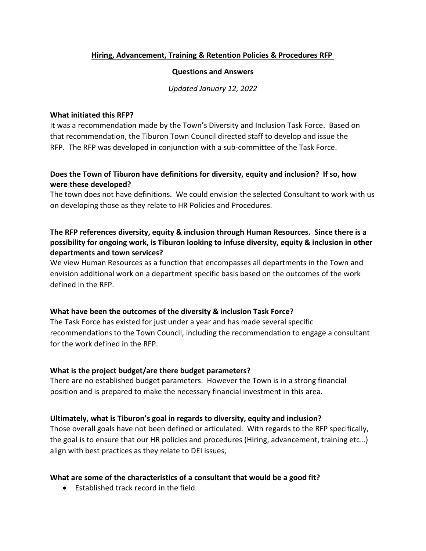### **[Hiring, Advancement, Training & Retention Policies & Procedures RFP](https://www.townoftiburon.org/DocumentCenter/View/3054/TOWN-OF-TIBURON-DEI-Consultant-Services-RFP)**

#### **Questions and Answers**

*Updated January 12, 2022*

#### **What initiated this RFP?**

It was a recommendation made by the Town's Diversity and Inclusion Task Force. Based on that recommendation, the Tiburon Town Council directed staff to develop and issue the RFP. The RFP was developed in conjunction with a sub-committee of the Task Force.

## **Does the Town of Tiburon have definitions for diversity, equity and inclusion? If so, how were these developed?**

The town does not have definitions. We could envision the selected Consultant to work with us on developing those as they relate to HR Policies and Procedures.

# **The RFP references diversity, equity & inclusion through Human Resources. Since there is a possibility for ongoing work, is Tiburon looking to infuse diversity, equity & inclusion in other departments and town services?**

We view Human Resources as a function that encompasses all departments in the Town and envision additional work on a department specific basis based on the outcomes of the work defined in the RFP.

### **What have been the outcomes of the diversity & inclusion Task Force?**

The Task Force has existed for just under a year and has made several specific recommendations to the Town Council, including the recommendation to engage a consultant for the work defined in the RFP.

### **What is the project budget/are there budget parameters?**

There are no established budget parameters. However the Town is in a strong financial position and is prepared to make the necessary financial investment in this area.

### **Ultimately, what is Tiburon's goal in regards to diversity, equity and inclusion?**

Those overall goals have not been defined or articulated. With regards to the RFP specifically, the goal is to ensure that our HR policies and procedures (Hiring, advancement, training etc…) align with best practices as they relate to DEI issues,

### **What are some of the characteristics of a consultant that would be a good fit?**

• Established track record in the field